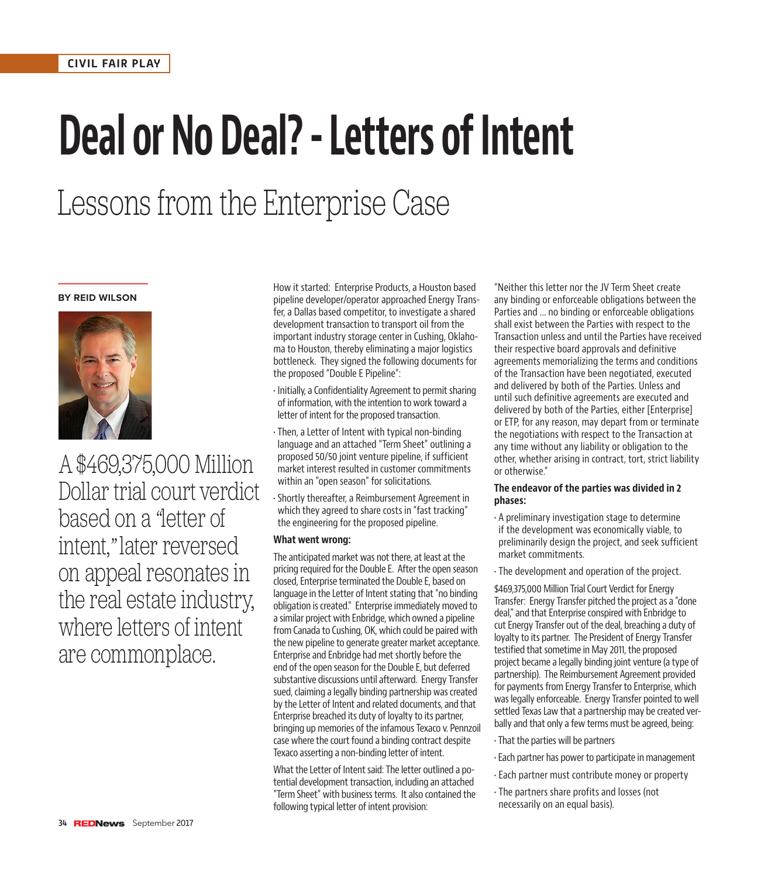# **Deal or No Deal? - Letters of Intent**

# Lessons from the Enterprise Case

#### **BY REID WILSON**



A \$469,375,000 Million Dollar trial court verdict based on a *"*letter of intent,*"* later reversed on appeal resonates in the real estate industry, where letters of intent are commonplace.

How it started: Enterprise Products, a Houston based pipeline developer/operator approached Energy Transfer, a Dallas based competitor, to investigate a shared development transaction to transport oil from the important industry storage center in Cushing, Oklahoma to Houston, thereby eliminating a major logistics bottleneck. They signed the following documents for the proposed "Double E Pipeline":

- Initially, a Confidentiality Agreement to permit sharing of information, with the intention to work toward a letter of intent for the proposed transaction.
- Then, a Letter of Intent with typical non-binding language and an attached "Term Sheet" outlining a proposed 50/50 joint venture pipeline, if sufficient market interest resulted in customer commitments within an "open season" for solicitations.
- Shortly thereafter, a Reimbursement Agreement in which they agreed to share costs in "fast tracking" the engineering for the proposed pipeline.

### **What went wrong:**

The anticipated market was not there, at least at the pricing required for the Double E. After the open season closed, Enterprise terminated the Double E, based on language in the Letter of Intent stating that "no binding obligation is created." Enterprise immediately moved to a similar project with Enbridge, which owned a pipeline from Canada to Cushing, OK, which could be paired with the new pipeline to generate greater market acceptance. Enterprise and Enbridge had met shortly before the end of the open season for the Double E, but deferred substantive discussions until afterward. Energy Transfer sued, claiming a legally binding partnership was created by the Letter of Intent and related documents, and that Enterprise breached its duty of loyalty to its partner, bringing up memories of the infamous Texaco v. Pennzoil case where the court found a binding contract despite Texaco asserting a non-binding letter of intent.

What the Letter of Intent said: The letter outlined a potential development transaction, including an attached "Term Sheet" with business terms. It also contained the following typical letter of intent provision:

"Neither this letter nor the JV Term Sheet create any binding or enforceable obligations between the Parties and ... no binding or enforceable obligations shall exist between the Parties with respect to the Transaction unless and until the Parties have received their respective board approvals and definitive agreements memorializing the terms and conditions of the Transaction have been negotiated, executed and delivered by both of the Parties. Unless and until such definitive agreements are executed and delivered by both of the Parties, either [Enterprise] or ETP, for any reason, may depart from or terminate the negotiations with respect to the Transaction at any time without any liability or obligation to the other, whether arising in contract, tort, strict liability or otherwise."

#### **The endeavor of the parties was divided in 2 phases:**

- A preliminary investigation stage to determine if the development was economically viable, to preliminarily design the project, and seek sufficient market commitments.
- The development and operation of the project.

\$469,375,000 Million Trial Court Verdict for Energy Transfer: Energy Transfer pitched the project as a "done deal," and that Enterprise conspired with Enbridge to cut Energy Transfer out of the deal, breaching a duty of loyalty to its partner. The President of Energy Transfer testified that sometime in May 2011, the proposed project became a legally binding joint venture (a type of partnership). The Reimbursement Agreement provided for payments from Energy Transfer to Enterprise, which was legally enforceable. Energy Transfer pointed to well settled Texas Law that a partnership may be created verbally and that only a few terms must be agreed, being:

- That the parties will be partners
- Each partner has power to participate in management
- Each partner must contribute money or property
- The partners share profits and losses (not necessarily on an equal basis).